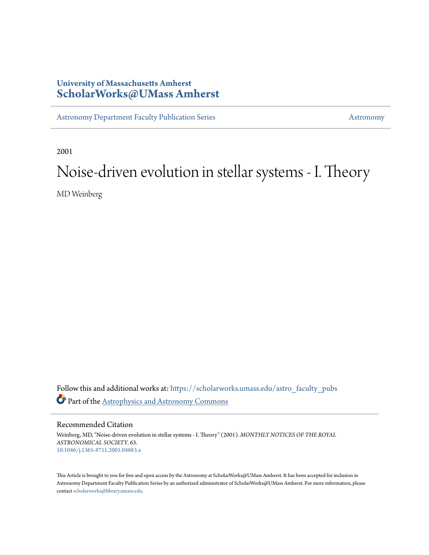# **University of Massachusetts Amherst [ScholarWorks@UMass Amherst](https://scholarworks.umass.edu?utm_source=scholarworks.umass.edu%2Fastro_faculty_pubs%2F63&utm_medium=PDF&utm_campaign=PDFCoverPages)**

[Astronomy Department Faculty Publication Series](https://scholarworks.umass.edu/astro_faculty_pubs?utm_source=scholarworks.umass.edu%2Fastro_faculty_pubs%2F63&utm_medium=PDF&utm_campaign=PDFCoverPages) [Astronomy](https://scholarworks.umass.edu/astro?utm_source=scholarworks.umass.edu%2Fastro_faculty_pubs%2F63&utm_medium=PDF&utm_campaign=PDFCoverPages)

2001

# Noise-driven evolution in stellar systems - I. Theory

MD Weinberg

Follow this and additional works at: [https://scholarworks.umass.edu/astro\\_faculty\\_pubs](https://scholarworks.umass.edu/astro_faculty_pubs?utm_source=scholarworks.umass.edu%2Fastro_faculty_pubs%2F63&utm_medium=PDF&utm_campaign=PDFCoverPages) Part of the [Astrophysics and Astronomy Commons](http://network.bepress.com/hgg/discipline/123?utm_source=scholarworks.umass.edu%2Fastro_faculty_pubs%2F63&utm_medium=PDF&utm_campaign=PDFCoverPages)

Recommended Citation

Weinberg, MD, "Noise-driven evolution in stellar systems - I. Theory" (2001). *MONTHLY NOTICES OF THE ROYAL ASTRONOMICAL SOCIETY*. 63. <10.1046/j.1365-8711.2001.04883.x>

This Article is brought to you for free and open access by the Astronomy at ScholarWorks@UMass Amherst. It has been accepted for inclusion in Astronomy Department Faculty Publication Series by an authorized administrator of ScholarWorks@UMass Amherst. For more information, please contact [scholarworks@library.umass.edu](mailto:scholarworks@library.umass.edu).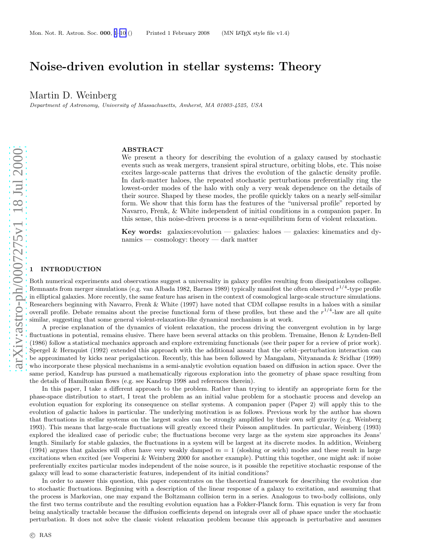# <span id="page-1-0"></span>Noise-driven evolution in stellar systems: Theory

Martin D. Weinberg

Department of Astronomy, University of Massachusetts, Amherst, MA 01003-4525, USA

## ABSTRACT

We present a theory for describing the evolution of a galaxy caused by stochastic events such as weak mergers, transient spiral structure, orbiting blobs, etc. This noise excites large-scale patterns that drives the evolution of the galactic density profile. In dark-matter haloes, the repeated stochastic perturbations preferentially ring the lowest-order modes of the halo with only a very weak dependence on the details of their source. Shaped by these modes, the profile quickly takes on a nearly self-similar form. We show that this form has the features of the "universal profile" reported by Navarro, Frenk, & White independent of initial conditions in a companion paper. In this sense, this noise-driven process is a near-equilibrium form of violent relaxation.

Key words: galaxies:evolution — galaxies: haloes — galaxies: kinematics and dynamics — cosmology: theory — dark matter

# **INTRODUCTION**

Both numerical experiments and observations suggest a universality in galaxy profiles resulting from dissipationless collapse. Remnants from merger simulations (e.g. van Albada 1982, Barnes 1989) typically manifest the often observed  $r^{1/4}$ -type profile in elliptical galaxies. More recently, the same feature has arisen in the context of cosmological large-scale structure simulations. Researchers beginning with Navarro, Frenk & White (1997) have noted that CDM collapse results in a haloes with a similar overall profile. Debate remains about the precise functional form of these profiles, but these and the  $r^{1/4}$ -law are all quite similar, suggesting that some general violent-relaxation-like dynamical mechanism is at work.

A precise explanation of the dynamics of violent relaxation, the process driving the convergent evolution in by large fluctuations in potential, remains elusive. There have been several attacks on this problem. Tremaine, Henon & Lynden-Bell (1986) follow a statistical mechanics approach and explore extremizing functionals (see their paper for a review of prior work). Spergel & Hernquist (1992) extended this approach with the additional ansatz that the orbit–perturbation interaction can be approximated by kicks near perigalacticon. Recently, this has been followed by Mangalam, Nityananda & Sridhar (1999 ) who incorporate these physical mechanisms in a semi-analytic evolution equation based on diffusion in action space. Over the same period, Kandrup has pursued a mathematically rigorous exploration into the geometry of phase space resulting from the details of Hamiltonian flows (e.g. see Kandrup 1998 and references therein).

In this paper, I take a different approach to the problem. Rather than trying to identify an appropriate form for the phase-space distribution to start, I treat the problem as an initial value problem for a stochastic process and develop a n evolution equation for exploring its consequence on stellar systems. A companion paper (Paper 2) will apply this to the evolution of galactic haloes in particular. The underlying motivation is as follows. Previous work by the author has shown that fluctuations in stellar systems on the largest scales can be strongly amplified by their own self gravity (e.g. Weinberg 1993). This means that large-scale fluctuations will greatly exceed their Poisson amplitudes. In particular, Weinberg (1993) explored the idealized case of periodic cube; the fluctuations become very large as the system size approaches its Jeans' length. Similarly for stable galaxies, the fluctuations in a system will be largest at its discrete modes. In addition, Weinberg (1994) argues that galaxies will often have very weakly damped  $m = 1$  (sloshing or seich) modes and these result in large excitations when excited (see Vesperini & Weinberg 2000 for another example). Putting this together, one might ask: if noise preferentially excites particular modes independent of the noise source, is it possible the repetitive stochastic response of the galaxy will lead to some characteristic features, independent of its initial conditions?

In order to answer this question, this paper concentrates on the theoretical framework for describing the evolution due to stochastic fluctuations. Beginning with a description of the linear response of a galaxy to excitation, and assuming that the process is Markovian, one may expand the Boltzmann collision term in a series. Analogous to two-body collisions, onl y the first two terms contribute and the resulting evolution equation has a Fokker-Planck form. This equation is very far from being analytically tractable because the diffusion coefficients depend on integrals over all of phase space under the stochastic perturbation. It does not solve the classic violent relaxation problem because this approach is perturbative and assumes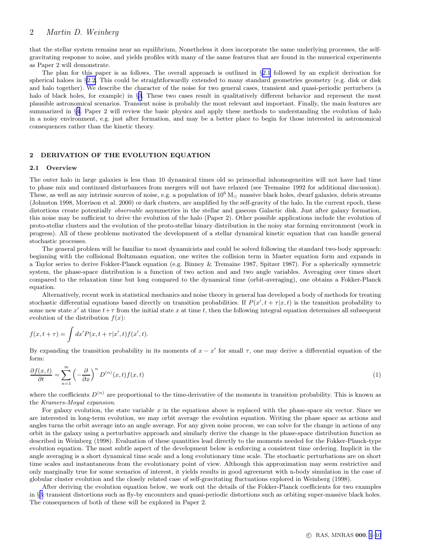# <span id="page-2-0"></span>2 *Martin D. Weinberg*

that the stellar system remains near an equilibrium, Nonetheless it does incorporate the same underlying processes, the selfgravitating response to noise, and yields profiles with many of the same features that are found in the numerical experiments as Paper 2 will demonstrate.

The plan for this paper is as follows. The overall approach is outlined in §2.1 followed by an explicit derivation for spherical haloes in §2.2. This could be straightforwardly extended to many standard geometries geometry (e.g. disk or disk and halo together). We describe the character of the noise for two general cases, transient and quasi-periodic perturbers (a halo of black holes, for example) in §[3](#page-4-0). These two cases result in qualitatively different behavior and represent the most plausible astronomical scenarios. Transient noise is probably the most relevant and important. Finally, the main features are summarized in §[4](#page-9-0). Paper 2 will review the basic physics and apply these methods to understanding the evolution of halo in a noisy environment, e.g. just after formation, and may be a better place to begin for those interested in astronomical consequences rather than the kinetic theory.

### 2 DERIVATION OF THE EVOLUTION EQUATION

#### 2.1 Overview

The outer halo in large galaxies is less than 10 dynamical times old so primordial inhomogeneities will not have had time to phase mix and continued disturbances from mergers will not have relaxed (see Tremaine 1992 for additional discussion). These, as well as any intrinsic sources of noise, e.g. a population of  $10^6 M_{\odot}$  massive black holes, dwarf galaxies, debris streams (Johnston 1998, Morrison et al. 2000) or dark clusters, are amplified by the self-gravity of the halo. In the current epoch, these distortions create potentially *observable* asymmetries in the stellar and gaseous Galactic disk. Just after galaxy formation, this noise may be sufficient to drive the evolution of the halo (Paper 2). Other possible applications include the evolution of proto-stellar clusters and the evolution of the proto-stellar binary distribution in the noisy star forming environment (work in progress). All of these problems motivated the development of a stellar dynamical kinetic equation that can handle general stochastic processes.

The general problem will be familiar to most dynamicists and could be solved following the standard two-body approach: beginning with the collisional Boltzmann equation, one writes the collision term in Master equation form and expands in a Taylor series to derive Fokker-Planck equation (e.g. Binney & Tremaine 1987, Spitzer 1987). For a spherically symmetric system, the phase-space distribution is a function of two action and and two angle variables. Averaging over times short compared to the relaxation time but long compared to the dynamical time (orbit-averaging), one obtains a Fokker-Planck equation.

Alternatively, recent work in statistical mechanics and noise theory in general has developed a body of methods for treating stochastic differential equations based directly on transition probabilities. If  $P(x', t + \tau | x, t)$  is the transition probability to some new state  $x'$  at time  $t+\tau$  from the initial state x at time t, then the following integral equation determines all subsequent evolution of the distribution  $f(x)$ :

$$
f(x,t+\tau) = \int dx' P(x,t+\tau|x',t) f(x',t).
$$

By expanding the transition probability in its moments of  $x - x'$  for small  $\tau$ , one may derive a differential equation of the form:

$$
\frac{\partial f(x,t)}{\partial t} = \sum_{n=1}^{\infty} \left( -\frac{\partial}{\partial x} \right)^n D^{(n)}(x,t) f(x,t)
$$
\n(1)

where the coefficients  $D^{(n)}$  are proportional to the time-derivative of the moments in transition probability. This is known as the Kramers-Moyal expansion.

For galaxy evolution, the state variable x in the equations above is replaced with the phase-space six vector. Since we are interested in long-term evolution, we may orbit average the evolution equation. Writing the phase space as actions and angles turns the orbit average into an angle average. For any given noise process, we can solve for the change in actions of any orbit in the galaxy using a perturbative approach and similarly derive the change in the phase-space distribution function as described in Weinberg (1998). Evaluation of these quantities lead directly to the moments needed for the Fokker-Planck-type evolution equation. The most subtle aspect of the development below is enforcing a consistent time ordering. Implicit in the angle averaging is a short dynamical time scale and a long evolutionary time scale. The stochastic perturbations are on short time scales and instantaneous from the evolutionary point of view. Although this approximation may seem restrictive and only marginally true for some scenarios of interest, it yields results in good agreement with n-body simulation in the case of globular cluster evolution and the closely related case of self-gravitating fluctuations explored in Weinberg (1998).

After deriving the evolution equation below, we work out the details of the Fokker-Planck coefficients for two examples in §[3](#page-4-0): transient distortions such as fly-by encounters and quasi-periodic distortions such as orbiting super-massive black holes. The consequences of both of these will be explored in Paper 2.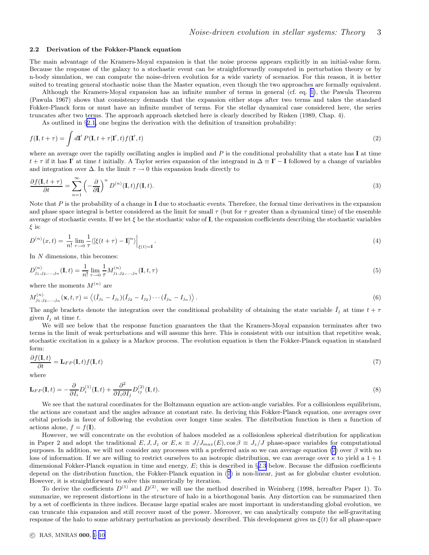#### <span id="page-3-0"></span>2.2 Derivation of the Fokker-Planck equation

The main advantage of the Kramers-Moyal expansion is that the noise process appears explicitly in an initial-value form. Because the response of the galaxy to a stochastic event can be straightforwardly computed in perturbation theory or by n-body simulation, we can compute the noise-driven evolution for a wide variety of scenarios. For this reason, it is better suited to treating general stochastic noise than the Master equation, even though the two approaches are formally equivalent.

Although the Kramers-Moyal expansion has an infinite number of terms in general (cf. eq. [1\)](#page-2-0), the Pawula Theorem (Pawula 1967) shows that consistency demands that the expansion either stops after two terms and takes the standard Fokker-Planck form or must have an infinite number of terms. For the stellar dynamical case considered here, the series truncates after two terms. The approach approach sketched here is clearly described by Risken (1989, Chap. 4).

As outlined in §[2.1,](#page-2-0) one begins the derivation with the definition of transition probability:

$$
f(\mathbf{I}, t + \tau) = \int d\mathbf{I}' P(\mathbf{I}, t + \tau | \mathbf{I}', t) f(\mathbf{I}', t)
$$
\n(2)

where an average over the rapidly oscillating angles is implied and  $P$  is the conditional probability that a state has  $I$  at time  $t + \tau$  if it has I' at time t initially. A Taylor series expansion of the integrand in  $\Delta \equiv I' - I$  followed by a change of variables and integration over  $\Delta$ . In the limit  $\tau \to 0$  this expansion leads directly to

$$
\frac{\partial f(\mathbf{I}, t + \tau)}{\partial t} = \sum_{n=1}^{\infty} \left( -\frac{\partial}{\partial \mathbf{I}} \right)^n D^{(n)}(\mathbf{I}, t) f(\mathbf{I}, t).
$$
\n(3)

Note that  $P$  is the probability of a change in I due to stochastic events. Therefore, the formal time derivatives in the expansion and phase space integral is better considered as the limit for small  $\tau$  (but for  $\tau$  greater than a dynamical time) of the ensemble average of stochastic events. If we let  $\xi$  be the stochastic value of **I**, the expansion coefficients describing the stochastic variables  $\xi$  is:

$$
D^{(n)}(x,t) = \frac{1}{n!} \lim_{\tau \to 0} \frac{1}{\tau} \langle \left[ \xi(t+\tau) - \mathbf{I} \right]^n \rangle \Big|_{\xi(t)=\mathbf{I}}.
$$
 (4)

In N dimensions, this becomes:

$$
D_{j_1,j_2,...,j_n}^{(n)}(\mathbf{I},t) = \frac{1}{n!} \lim_{\tau \to 0} \frac{1}{\tau} M_{j_1,j_2,...,j_n}^{(n)}(\mathbf{I},t,\tau)
$$
(5)

where the moments  $M^{(n)}$  are

$$
M_{j_1,j_2,...,j_n}^{(n)}(\mathbf{x},t,\tau) = \langle (\bar{I}_{j_1} - I_{j_1})(\bar{I}_{j_2} - I_{j_2}) \cdots (\bar{I}_{j_n} - I_{j_n}) \rangle.
$$
\n(6)

The angle brackets denote the integration over the conditional probability of obtaining the state variable  $\bar{I}_j$  at time  $t + \tau$ given  $I_i$  at time t.

We will see below that the response function guarantees the that the Kramers-Moyal expansion terminates after two terms in the limit of weak perturbations and will assume this here. This is consistent with our intuition that repetitive weak, stochastic excitation in a galaxy is a Markov process. The evolution equation is then the Fokker-Planck equation in standard form:

$$
\frac{\partial f(\mathbf{I},t)}{\partial t} = \mathbf{L}_{FP}(\mathbf{I},t) f(\mathbf{I},t)
$$
\n(7)

where

$$
\mathbf{L}_{FP}(\mathbf{I},t) = -\frac{\partial}{\partial I_i} D_i^{(1)}(\mathbf{I},t) + \frac{\partial^2}{\partial I_i \partial I_j} D_{ij}^{(2)}(\mathbf{I},t).
$$
\n(8)

We see that the natural coordinates for the Boltzmann equation are action-angle variables. For a collisionless equilibrium, the actions are constant and the angles advance at constant rate. In deriving this Fokker-Planck equation, one averages over orbital periods in favor of following the evolution over longer time scales. The distribution function is then a function of actions alone,  $f = f(\mathbf{I}).$ 

However, we will concentrate on the evolution of haloes modeled as a collisionless spherical distribution for application in Paper 2 and adopt the traditional  $E, J, J_z$  or  $E, \kappa \equiv J/J_{max}(E), \cos \beta \equiv J_z/J$  phase-space variables for computational purposes. In addition, we will not consider any processes with a preferred axis so we can average equation (7) over  $\beta$  with no loss of information. If we are willing to restrict ourselves to an isotropic distribution, we can average over  $\kappa$  to yield a 1 + 1 dimensional Fokker-Planck equation in time and energy,  $E$ ; this is described in §[2.3](#page-4-0) below. Because the diffusion coefficients depend on the distribution function, the Fokker-Planck equation in (7) is non-linear, just as for globular cluster evolution. However, it is straightforward to solve this numerically by iteration.

To derive the coefficients  $D^{(1)}$  and  $D^{(2)}$ , we will use the method described in Weinberg (1998, hereafter Paper 1). To summarize, we represent distortions in the structure of halo in a biorthogonal basis. Any distortion can be summarized then by a set of coefficients in three indices. Because large spatial scales are most important in understanding global evolution, we can truncate this expansion and still recover most of the power. Moreover, we can analytically compute the self-gravitating response of the halo to some arbitrary perturbation as previously described. This development gives us  $\xi(t)$  for all phase-space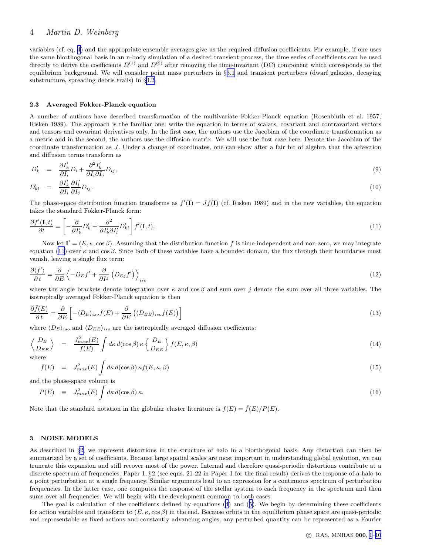# <span id="page-4-0"></span>4 *Martin D. Weinberg*

variables (cf. eq. [4](#page-3-0)) and the appropriate ensemble averages give us the required diffusion coefficients. For example, if one uses the same biorthogonal basis in an n-body simulation of a desired transient process, the time series of coefficients can be used directly to derive the coefficients  $D^{(1)}$  and  $D^{(2)}$  after removing the time-invariant (DC) component which corresponds to the equilibrium background. We will consider point mass perturbers in §[3.1](#page-6-0) and transient perturbers (dwarf galaxies, decaying substructure, spreading debris trails) in §[3.2](#page-8-0).

#### 2.3 Averaged Fokker-Planck equation

A number of authors have described transformation of the multivariate Fokker-Planck equation (Rosenbluth et al. 1957, Risken 1989). The approach is the familiar one: write the equation in terms of scalars, covariant and contravariant vectors and tensors and covariant derivatives only. In the first case, the authors use the Jacobian of the coordinate transformation as a metric and in the second, the authors use the diffusion matrix. We will use the first case here. Denote the Jacobian of the coordinate transformation as J. Under a change of coordinates, one can show after a fair bit of algebra that the advection and diffusion terms transform as

$$
D'_k = \frac{\partial I'_k}{\partial I_i} D_i + \frac{\partial^2 I'_k}{\partial I_i \partial I_j} D_{ij},\tag{9}
$$

$$
D'_{kl} = \frac{\partial I'_k}{\partial I_i} \frac{\partial I'_l}{\partial I_j} D_{ij}.
$$
\n(10)

The phase-space distribution function transforms as  $f'(I) = Jf(I)$  (cf. Risken 1989) and in the new variables, the equation takes the standard Fokker-Planck form:

$$
\frac{\partial f'(\mathbf{I},t)}{\partial t} = \left[ -\frac{\partial}{\partial I'_k} D'_k + \frac{\partial^2}{\partial I'_k \partial I'_l} D'_{kl} \right] f'(\mathbf{I},t). \tag{11}
$$

Now let  $I' = (E, \kappa, \cos \beta)$ . Assuming that the distribution function f is time-independent and non-zero, we may integrate equation (11) over κ and cos β. Since both of these variables have a bounded domain, the flux through their boundaries must vanish, leaving a single flux term:

$$
\frac{\partial \langle f' \rangle}{\partial t} = \frac{\partial}{\partial E} \left\langle -D_E f' + \frac{\partial}{\partial I^j} \left( D_{Ej} f' \right) \right\rangle_{iso} \tag{12}
$$

where the angle brackets denote integration over  $\kappa$  and cos  $\beta$  and sum over j denote the sum over all three variables. The isotropically averaged Fokker-Planck equation is then

$$
\frac{\partial \bar{f}(E)}{\partial t} = \frac{\partial}{\partial E} \left[ - \langle D_E \rangle_{iso} \bar{f}(E) + \frac{\partial}{\partial E} \left( \langle D_{EE} \rangle_{iso} \bar{f}(E) \right) \right]
$$
(13)

where  $\langle D_E \rangle_{iso}$  and  $\langle D_{EE} \rangle_{iso}$  are the isotropically averaged diffusion coefficients:

$$
\left\langle \frac{D_E}{D_{EE}} \right\rangle = \frac{J_{max}^2(E)}{f(E)} \int d\kappa \, d(\cos \beta) \, \kappa \left\{ \frac{D_E}{D_{EE}} \right\} f(E, \kappa, \beta) \tag{14}
$$

where

$$
\bar{f}(E) = J_{max}^2(E) \int d\kappa \, d(\cos \beta) \, \kappa f(E, \kappa, \beta) \tag{15}
$$

and the phase-space volume is

$$
P(E) \equiv J_{max}^2(E) \int d\kappa \, d(\cos \beta) \,\kappa. \tag{16}
$$

Note that the standard notation in the globular cluster literature is  $f(E) = \overline{f}(E)/P(E)$ .

# 3 NOISE MODELS

As described in §[2,](#page-2-0) we represent distortions in the structure of halo in a biorthogonal basis. Any distortion can then be summarized by a set of coefficients. Because large spatial scales are most important in understanding global evolution, we can truncate this expansion and still recover most of the power. Internal and therefore quasi-periodic distortions contribute at a discrete spectrum of frequencies. Paper 1, §2 (see eqns. 21-22 in Paper 1 for the final result) derives the response of a halo to a point perturbation at a single frequency. Similar arguments lead to an expression for a continuous spectrum of perturbation frequencies. In the latter case, one computes the response of the stellar system to each frequency in the spectrum and then sums over all frequencies. We will begin with the development common to both cases.

The goal is calculation of the coefficients defined by equations ([4](#page-3-0)) and ([5](#page-3-0)). We begin by determining these coefficients for action variables and transform to  $(E, \kappa, \cos \beta)$  in the end. Because orbits in the equilibrium phase space are quasi-periodic and representable as fixed actions and constantly advancing angles, any perturbed quantity can be represented as a Fourier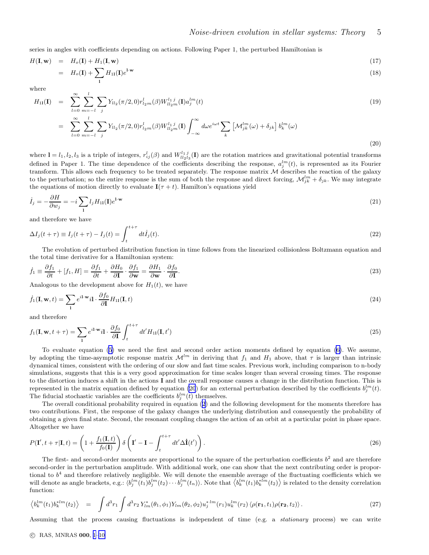(20)

<span id="page-5-0"></span>series in angles with coefficients depending on actions. Following Paper 1, the perturbed Hamiltonian is

$$
H(\mathbf{I}, \mathbf{w}) = H_o(\mathbf{I}) + H_1(\mathbf{I}, \mathbf{w})
$$
  
=  $H_o(\mathbf{I}) + \sum H_{11}(\mathbf{I})e^{\mathbf{I} \cdot \mathbf{w}}$  (18)

where

$$
H_{11}(\mathbf{I}) = \sum_{l=0}^{\infty} \sum_{m=-l}^{l} \sum_{j} Y_{ll_2}(\pi/2, 0) r_{l_2m}^{l}(\beta) W_{ll_2m}^{l_1 j}(\mathbf{I}) a_j^{lm}(t)
$$
  
\n
$$
= \sum_{l=0}^{\infty} \sum_{m=-l}^{l} \sum_{j} Y_{ll_2}(\pi/2, 0) r_{l_2m}^{l}(\beta) W_{ll_2m}^{l_1 j}(\mathbf{I}) \int_{-\infty}^{\infty} d\omega e^{i\omega t} \sum_{k} \left[ \mathcal{M}_{jk}^{lm}(\omega) + \delta_{jk} \right] b_k^{lm}(\omega)
$$
\n(19)

where  $\mathbf{l} = l_1, l_2, l_3$  is a triple of integers,  $r_{ij}^l(\beta)$  and  $W_{ll_2l_3}^{l_1j}(\mathbf{l})$  are the rotation matrices and gravitational potential transforms defined in Paper 1. The time dependence of the coefficients describing the response,  $a_j^{lm}(t)$ , is represented as its Fourier transform. This allows each frequency to be treated separately. The response matrix  $M$  describes the reaction of the galaxy to the perturbation; so the entire response is the sum of both the response and direct forcing,  $\mathcal{M}_{jk}^{lm} + \delta_{jk}$ . We may integrate the equations of motion directly to evaluate  $\mathbf{I}(\tau + t)$ . Hamilton's equations yield

$$
\dot{I}_j = -\frac{\partial H}{\partial w_j} = -i \sum_{\mathbf{l}} l_j H_{11}(\mathbf{l}) e^{\mathbf{l} \cdot \mathbf{w}} \tag{21}
$$

and therefore we have

$$
\Delta I_j(t+\tau) \equiv I_j(t+\tau) - I_j(t) = \int_t^{t+\tau} dt \dot{I}_j(t). \tag{22}
$$

The evolution of perturbed distribution function in time follows from the linearized collisionless Boltzmann equation and the total time derivative for a Hamiltonian system:

$$
\dot{f}_1 \equiv \frac{\partial f_1}{\partial t} + [f_1, H] = \frac{\partial f_1}{\partial t} + \frac{\partial H_0}{\partial \mathbf{I}} \cdot \frac{\partial f_1}{\partial \mathbf{w}} = \frac{\partial H_1}{\partial \mathbf{w}} \cdot \frac{\partial f_0}{\partial \mathbf{I}}.
$$
\n(23)

Analogous to the development above for  $H_1(t)$ , we have

l

$$
\dot{f}_1(\mathbf{I}, \mathbf{w}, t) = \sum_{\mathbf{I}} e^{i\mathbf{I} \cdot \mathbf{w}} i\mathbf{I} \cdot \frac{\partial f_0}{\partial \mathbf{I}} H_{11}(\mathbf{I}, t)
$$
\n(24)

and therefore

$$
f_1(\mathbf{I}, \mathbf{w}, t + \tau) = \sum_{\mathbf{l}} e^{i\mathbf{l} \cdot \mathbf{w}} i\mathbf{l} \cdot \frac{\partial f_0}{\partial \mathbf{l}} \int_t^{t + \tau} dt' H_{11}(\mathbf{I}, t')
$$
\n(25)

To evaluate equation [\(5\)](#page-3-0) we need the first and second order action moments defined by equation [\(6\)](#page-3-0). We assume, by adopting the time-asymptotic response matrix  $\mathcal{M}^{lm}$  in deriving that  $f_1$  and  $H_1$  above, that  $\tau$  is larger than intrinsic dynamical times, consistent with the ordering of our slow and fast time scales. Previous work, including comparison to n-body simulations, suggests that this is a very good approximation for time scales longer than several crossing times. The response to the distortion induces a shift in the actions I and the overall response causes a change in the distribution function. This is represented in the matrix equation defined by equation (20) for an external perturbation described by the coefficients  $b_j^{lm}(t)$ . The fiducial stochastic variables are the coefficients  $b_j^{lm}(t)$  themselves.

The overall conditional probability required in equation ([2](#page-3-0)) and the following development for the moments therefore has two contributions. First, the response of the galaxy changes the underlying distribution and consequently the probability of obtaining a given final state. Second, the resonant coupling changes the action of an orbit at a particular point in phase space. Altogether we have

$$
P(\mathbf{I}', t + \tau | \mathbf{I}, t) = \left(1 + \frac{f_1(\mathbf{I}, t)}{f_0(\mathbf{I})}\right) \delta\left(\mathbf{I}' - \mathbf{I} - \int_t^{t + \tau} dt' \Delta \dot{\mathbf{I}}(t')\right). \tag{26}
$$

The first- and second-order moments are proportional to the square of the perturbation coefficients  $b<sup>2</sup>$  and are therefore second-order in the perturbation amplitude. With additional work, one can show that the next contributing order is proportional to  $b<sup>4</sup>$  and therefore relatively negligible. We will denote the ensemble average of the fluctuating coefficients which we will denote as angle brackets, e.g.:  $\langle b_j^{lm}(t_1)b_j^{lm}(t_2)\cdots b_j^{lm}(t_n)\rangle$ . Note that  $\langle b_k^{lm}(t_1)b_k^{*lm}(t_2)\rangle$  is related to the density correlation function:

$$
\left\langle b_k^{lm}(t_1)b_k^{*lm}(t_2) \right\rangle = \int d^3r_1 \int d^3r_2 Y_{lm}^*(\theta_1, \phi_1) Y_{lm}(\theta_2, \phi_2) u_j^{*lm}(r_1) u_k^{lm}(r_2) \left\langle \rho(\mathbf{r}_1, t_1) \rho(\mathbf{r}_2, t_2) \right\rangle. \tag{27}
$$

Assuming that the process causing fluctuations is independent of time (e.g. a stationary process) we can write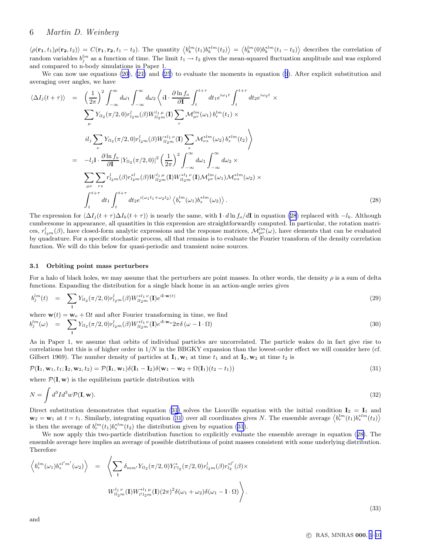<span id="page-6-0"></span> $\langle \rho(\mathbf{r_1}, t_1) \rho(\mathbf{r_2}, t_2) \rangle = C(\mathbf{r_1}, \mathbf{r_2}, t_1 - t_2)$ . The quantity  $\langle b_k^{lm}(t_1) b_k^{*lm}(t_2) \rangle = \langle b_k^{lm}(0) b_k^{*lm}(t_1 - t_2) \rangle$  describes the correlation of random variables  $b_j^{lm}$  as a function of time. The limit  $t_1 \to t_2$  gives the mean-squared fluctuation amplitude and was explored and compared to n-body simulations in Paper 1.

We can now use equations [\(20](#page-5-0)), [\(21\)](#page-5-0) and [\(25](#page-5-0)) to evaluate the moments in equation ([6](#page-3-0)). After explicit substitution and averaging over angles, we have

$$
\langle \Delta I_{j}(t+\tau) \rangle = \left(\frac{1}{2\pi}\right)^{2} \int_{-\infty}^{\infty} d\omega_{1} \int_{-\infty}^{\infty} d\omega_{2} \left\langle i1 \cdot \frac{\partial \ln f_{o}}{\partial \mathbf{I}} \int_{t}^{t+\tau} dt_{1} e^{i\omega_{1}t} \int_{t}^{t+\tau} dt_{2} e^{i\omega_{2}t} \times \sum_{\mu} Y_{l l_{2}}(\pi/2, 0) r_{l_{2}m}^{l}(\beta) W_{l l_{2}m}^{l}(\mathbf{I}) \sum_{r} \mathcal{M}_{\mu r}^{l m}(\omega_{1}) b_{r}^{l m}(t_{1}) \times \right. \\
\left. i l_{j} \sum_{\nu} Y_{l l_{2}}(\pi/2, 0) r_{l_{2}m}^{l}(\beta) W_{l l_{2}m}^{* l_{1} \nu}(\mathbf{I}) \sum_{s} \mathcal{M}_{\nu s}^{* l m}(\omega_{2}) b_{s}^{* l m}(t_{2}) \right\rangle
$$
\n
$$
= -l_{j} 1 \cdot \frac{\partial \ln f_{o}}{\partial \mathbf{I}} |Y_{l l_{2}}(\pi/2, 0)|^{2} \left(\frac{1}{2\pi}\right)^{2} \int_{-\infty}^{\infty} d\omega_{1} \int_{-\infty}^{\infty} d\omega_{2} \times \sum_{\mu\nu} \sum_{rs} r_{l_{2}m}^{l}(\beta) r_{l_{2}m}^{* l}(\beta) W_{l l_{2}m}^{l m}(\mathbf{I}) \mathcal{M}_{\mu r}^{* l_{1} \nu}(\mathbf{I}) \mathcal{M}_{\mu r}^{l m}(\omega_{1}) \mathcal{M}_{\nu s}^{* l m}(\omega_{2}) \times \int_{t}^{t+\tau} dt_{1} \int_{t}^{t+\tau} dt_{2} e^{i(\omega_{1}t_{1} + \omega_{2}t_{2})} \langle b_{r}^{l m}(\omega_{1}) b_{s}^{* l m}(\omega_{2}) \rangle.
$$
\n(28)

The expression for  $\langle \Delta I_j(t + \tau) \Delta I_k(t + \tau) \rangle$  is nearly the same, with l · d ln  $f_o/dI$  in equation (28) replaced with  $-l_k$ . Although cumbersome in appearance, all quantities in this expression are straightforwardly computed. In particular, the rotation matrices,  $r_{l_2m}^l(\beta)$ , have closed-form analytic expressions and the response matrices,  $\mathcal{M}_{\mu r}^{lm}(\omega)$ , have elements that can be evaluated by quadrature. For a specific stochastic process, all that remains is to evaluate the Fourier transform of the density correlation function. We will do this below for quasi-periodic and transient noise sources.

#### 3.1 Orbiting point mass perturbers

For a halo of black holes, we may assume that the perturbers are point masses. In other words, the density  $\rho$  is a sum of delta functions. Expanding the distribution for a single black home in an action-angle series gives

$$
b_j^{lm}(t) = \sum_{1} Y_{l l_2}(\pi/2, 0) r_{l_2 m}^l(\beta) W_{l l_2 m}^{*l_1 \nu}(\mathbf{I}) e^{i \mathbf{l} \cdot \mathbf{w}(t)} \tag{29}
$$

where  $\mathbf{w}(t) = \mathbf{w}_o + \Omega t$  and after Fourier transforming in time, we find

$$
b_j^{lm}(\omega) = \sum_{1} Y_{l l_2}(\pi/2, 0) r_{l_2 m}^l(\beta) W_{l l_2 m}^{* l_1 \nu}(\mathbf{I}) e^{i \mathbf{l} \cdot \mathbf{w}_o} 2 \pi \delta(\omega - \mathbf{l} \cdot \Omega) \tag{30}
$$

As in Paper 1, we assume that orbits of individual particles are uncorrelated. The particle wakes do in fact give rise to correlations but this is of higher order in  $1/N$  in the BBGKY expansion than the lowest-order effect we will consider here (cf. Gilbert 1969). The number density of particles at  $\mathbf{I}_1$ ,  $\mathbf{w}_1$  at time  $t_1$  and at  $\mathbf{I}_2$ ,  $\mathbf{w}_2$  at time  $t_2$  is

$$
\mathcal{P}(\mathbf{I}_1, \mathbf{w}_1, t_1; \mathbf{I}_2, \mathbf{w}_2, t_2) = \mathcal{P}(\mathbf{I}_1, \mathbf{w}_1) \delta(\mathbf{I}_1 - \mathbf{I}_2) \delta(\mathbf{w}_1 - \mathbf{w}_2 + \Omega(\mathbf{I}_1)(t_2 - t_1))
$$
\n(31)

where  $\mathcal{P}(\mathbf{I}, \mathbf{w})$  is the equilibrium particle distribution with

$$
N = \int d^3 I d^3 w \mathcal{P}(\mathbf{I}, \mathbf{w}). \tag{32}
$$

Direct substitution demonstrates that equation (31) solves the Liouville equation with the initial condition  $I_2 = I_1$  and  $\mathbf{w}_2 = \mathbf{w}_1$  at  $t = t_1$ . Similarly, integrating equation (31) over all coordinates gives N. The ensemble average  $\langle b_r^{lm}(t_1)b_s^{*lm}(t_2) \rangle$ is then the average of  $b_r^{lm}(t_1)b_s^{*lm}(t_2)$  the distribution given by equation (31).

We now apply this two-particle distribution function to explicitly evaluate the ensemble average in equation (28). The ensemble average here implies an average of possible distributions of point masses consistent with some underlying distribution. Therefore

$$
\left\langle b_r^{lm}(\omega_1) b_s^{*l'm'}(\omega_2) \right\rangle = \left\langle \sum_1 \delta_{mm'} Y_{ll_2}(\pi/2, 0) Y_{l'l_2}^*(\pi/2, 0) r_{l_2m}^l(\beta) r_{l_2}^{*l'}(\beta) \times W_{ll_2m}^{l_1 \nu}(\mathbf{I}) W_{l'l_2m}^{*l_1 \mu}(\mathbf{I})(2\pi)^2 \delta(\omega_1 + \omega_2) \delta(\omega_1 - 1 \cdot \Omega) \right\rangle.
$$
\n(22)

(33)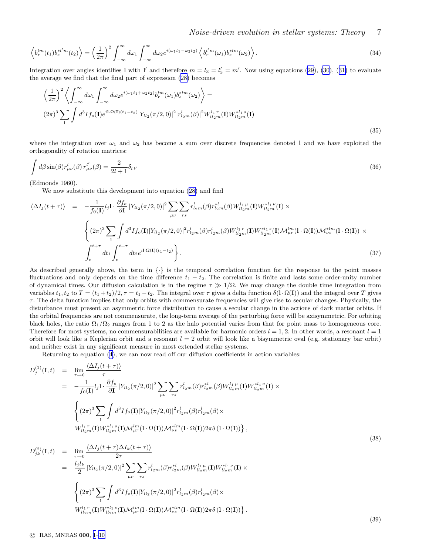<span id="page-7-0"></span>
$$
\left\langle b_r^{lm}(t_1)b_s^{*l'm}(t_2) \right\rangle = \left(\frac{1}{2\pi}\right)^2 \int_{-\infty}^{\infty} d\omega_1 \int_{-\infty}^{\infty} d\omega_2 e^{i(\omega_1 t_1 - \omega_2 t_2)} \left\langle b_r^{l'm}(\omega_1) b_s^{*lm}(\omega_2) \right\rangle. \tag{34}
$$

Integration over angles identifies 1 with 1' and therefore  $m = l_3 = l'_3 = m'$ . Now using equations [\(29](#page-6-0)), [\(30](#page-6-0)), ([31\)](#page-6-0) to evaluate the average we find that the final part of expression ([28\)](#page-6-0) becomes

$$
\left(\frac{1}{2\pi}\right)^2 \left\langle \int_{-\infty}^{\infty} d\omega_1 \int_{-\infty}^{\infty} d\omega_2 e^{i(\omega_1 t_1 + \omega_2 t_2)} b_r^{lm}(\omega_1) b_s^{*lm}(\omega_2) \right\rangle =
$$
\n
$$
(2\pi)^3 \sum_{1} \int d^3 I f_o(\mathbf{I}) e^{i\mathbf{I} \cdot \Omega(\mathbf{I})(t_1 - t_2)} |Y_{ll_2}(\pi/2, 0)|^2 |r_{l_2m}^l(\beta)|^2 W_{ll_2m}^{l_1 r}(\mathbf{I}) W_{ll_2m}^{*l_1 s}(\mathbf{I})
$$
\n(35)

where the integration over  $\omega_1$  and  $\omega_2$  has become a sum over discrete frequencies denoted 1 and we have exploited the orthogonality of rotation matrices:

$$
\int d\beta \sin(\beta) r_{\mu\nu}^l(\beta) r_{\mu\nu}^{l'}(\beta) = \frac{2}{2l+1} \delta_{l\,l'} \tag{36}
$$

(Edmonds 1960).

We now substitute this development into equation ([28\)](#page-6-0) and find

$$
\langle \Delta I_j(t+\tau) \rangle = -\frac{1}{f_0(\mathbf{I})} l_j \mathbf{I} \cdot \frac{\partial f_o}{\partial \mathbf{I}} |Y_{l l_2}(\pi/2, 0)|^2 \sum_{\mu\nu} \sum_{rs} r_{l_2 m}^l(\beta) r_{l_2 m}^{*l}(\beta) W_{l l_2 m}^{l_1 \mu}(\mathbf{I}) W_{l l_2 m}^{*l_1 \nu}(\mathbf{I}) \times \n\left\{ (2\pi)^3 \sum_{\mathbf{I}} \int d^3 I f_o(\mathbf{I}) |Y_{l l_2}(\pi/2, 0)|^2 r_{l_2 m}^l(\beta) r_{l_2 m}^{l_1}(\beta) W_{l l_2 m}^{l_1 \tau}(\mathbf{I}) W_{l l_2 m}^{*l_1 \ s}(\mathbf{I}) \mathcal{M}_{\mu r}^{l m}(\mathbf{I} \cdot \Omega(\mathbf{I})) \mathcal{M}_{\nu s}^{*l m}(\mathbf{I} \cdot \Omega(\mathbf{I})) \right\} \n\int_{t}^{t+\tau} dt_1 \int_{t}^{t+\tau} dt_2 e^{i \mathbf{I} \cdot \Omega(\mathbf{I})(t_1-t_2)} \right\}.
$$
\n(37)

As described generally above, the term in  $\{\cdot\}$  is the temporal correlation function for the response to the point masses fluctuations and only depends on the time difference  $t_1 - t_2$ . The correlation is finite and lasts some order-unity number of dynamical times. Our diffusion calculation is in the regime  $\tau \gg 1/\Omega$ . We may change the double time integration from variables  $t_1, t_2$  to  $T = (t_1 + t_2)/2, \tau = t_1 - t_2$ . The integral over  $\tau$  gives a delta function  $\delta(\Gamma \cdot \Omega(\mathbf{I}))$  and the integral over  $T$  gives  $\tau$ . The delta function implies that only orbits with commensurate frequencies will give rise to secular changes. Physically, the disturbance must present an asymmetric force distribution to cause a secular change in the actions of dark matter orbits. If the orbital frequencies are not commensurate, the long-term average of the perturbing force will be axisymmetric. For orbiting black holes, the ratio  $\Omega_1/\Omega_2$  ranges from 1 to 2 as the halo potential varies from that for point mass to homogeneous core. Therefore for most systems, no commensurabilities are available for harmonic orders  $l = 1, 2$ . In other words, a resonant  $l = 1$ orbit will look like a Keplerian orbit and a resonant  $l = 2$  orbit will look like a bisymmetric oval (e.g. stationary bar orbit) and neither exist in any significant measure in most extended stellar systems.

Returning to equation [\(4\)](#page-3-0), we can now read off our diffusion coefficients in action variables:

$$
D_{j}^{(1)}(\mathbf{I},t) = \lim_{\tau \to 0} \frac{\langle \Delta I_{j}(t+\tau) \rangle}{\tau}
$$
  
\n
$$
= -\frac{1}{f_{0}(\mathbf{I})} l_{j} \mathbf{I} \cdot \frac{\partial f_{o}}{\partial \mathbf{I}} |Y_{ll_{2}}(\pi/2,0)|^{2} \sum_{\mu\nu} \sum_{rs} r_{l_{2}m}^{l}(\beta) r_{l_{2}m}^{*l}(\beta) W_{ll_{2}m}^{l_{1}\mu}(\mathbf{I}) W_{ll_{2}m}^{*l_{1}\nu}(\mathbf{I}) \times
$$
  
\n
$$
\begin{cases}\n(2\pi)^{3} \sum_{1} \int d^{3} I f_{o}(\mathbf{I}) |Y_{ll_{2}}(\pi/2,0)|^{2} r_{l_{2}m}^{l}(\beta) r_{l_{2}m}^{l}(\beta) \times \\
W_{ll_{2}m}^{l_{1}r}(\mathbf{I}) W_{ll_{2}m}^{*l_{1}s}(\mathbf{I}) \mathcal{M}_{\mu}^{lm}(\mathbf{I} \cdot \Omega(\mathbf{I})) \mathcal{M}_{\nu s}^{*lm}(\mathbf{I} \cdot \Omega(\mathbf{I})) 2\pi \delta (\mathbf{I} \cdot \Omega(\mathbf{I})) \},\n\end{cases}
$$
\n
$$
D_{jk}^{(2)}(\mathbf{I},t) = \lim_{\tau \to 0} \frac{\langle \Delta I_{j}(t+\tau) \Delta I_{k}(t+\tau) \rangle}{2\tau}
$$
\n
$$
= \frac{l_{j}l_{k}}{2} |Y_{ll_{2}}(\pi/2,0)|^{2} \sum_{\mu\nu} \sum_{rs} r_{l_{2}m}^{l}(\beta) r_{l_{2}m}^{*l}(\beta) W_{ll_{2}m}^{l_{1}\mu}(\mathbf{I}) W_{ll_{2}m}^{*l_{1}\nu}(\mathbf{I}) \times
$$
\n
$$
\left\{(2\pi)^{3} \sum_{1} \int d^{3} I f_{o}(\mathbf{I}) |Y_{ll_{2}}(\pi/2,0)|^{2} r_{l_{2}m}^{l}(\beta) r_{l_{2}m}^{l}(\beta) \times\right.
$$
\n(38)

.

$$
\left\{W^{l_1\,r}_{ll_2m}(\mathbf{I})W^{*l_1\,s}_{ll_2m}(\mathbf{I})\mathcal{M}^{lm}_{\mu r}(\mathbf{l}\cdot\Omega(\mathbf{I}))\mathcal{M}^{*lm}_{\nu s}(\mathbf{l}\cdot\Omega(\mathbf{I}))2\pi\delta\left(\mathbf{l}\cdot\Omega(\mathbf{I})\right)\right\}
$$

c RAS, MNRAS 000, [1](#page-1-0)[–10](#page-10-0)

(39)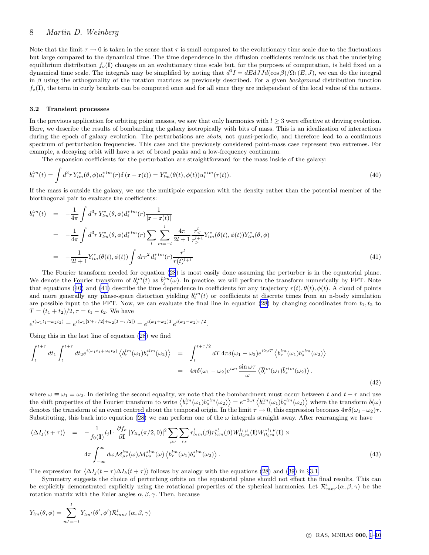<span id="page-8-0"></span>Note that the limit  $\tau \to 0$  is taken in the sense that  $\tau$  is small compared to the evolutionary time scale due to the fluctuations but large compared to the dynamical time. The time dependence in the diffusion coefficients reminds us that the underlying equilibrium distribution  $f<sub>o</sub>(I)$  changes on an evolutionary time scale but, for the purposes of computation, is held fixed on a dynamical time scale. The integrals may be simplified by noting that  $d^3I = dEdJJd(\cos\beta)/\Omega_1(E, J)$ , we can do the integral in  $\beta$  using the orthogonality of the rotation matrices as previously described. For a given background distribution function  $f_o(\mathbf{I})$ , the term in curly brackets can be computed once and for all since they are independent of the local value of the actions.

### 3.2 Transient processes

In the previous application for orbiting point masses, we saw that only harmonics with  $l \geq 3$  were effective at driving evolution. Here, we describe the results of bombarding the galaxy isotropically with bits of mass. This is an idealization of interactions during the epoch of galaxy evolution. The perturbations are *shots*, not quasi-periodic, and therefore lead to a continuous spectrum of perturbation frequencies. This case and the previously considered point-mass case represent two extremes. For example, a decaying orbit will have a set of broad peaks and a low-frequency continuum.

The expansion coefficients for the perturbation are straightforward for the mass inside of the galaxy:

$$
b_i^{lm}(t) = \int d^3r Y_{lm}^*(\theta, \phi) u_i^{*lm}(r) \delta(\mathbf{r} - \mathbf{r}(t)) = Y_{lm}^*(\theta(t), \phi(t)) u_i^{*lm}(r(t)).
$$
\n(40)

If the mass is outside the galaxy, we use the multipole expansion with the density rather than the potential member of the biorthogonal pair to evaluate the coefficients:

$$
b_i^{lm}(t) = -\frac{1}{4\pi} \int d^3r Y_{lm}^*(\theta, \phi) d_i^{*lm}(r) \frac{1}{|\mathbf{r} - \mathbf{r}(t)|}
$$
  
\n
$$
= -\frac{1}{4\pi} \int d^3r Y_{lm}^*(\theta, \phi) d_i^{*lm}(r) \sum_l \sum_{m=-l}^l \frac{4\pi}{2l+1} \frac{r_<^l}{r_>^{l+1}} Y_{lm}^*(\theta(t), \phi(t)) Y_{lm}^*(\theta, \phi)
$$
  
\n
$$
= -\frac{1}{2l+1} Y_{lm}^*(\theta(t), \phi(t)) \int dr r^2 d_i^{*lm}(r) \frac{r^l}{r(t)^{l+1}}
$$
\n(41)

The Fourier transform needed for equation [\(28](#page-6-0)) is most easily done assuming the perturber is in the equatorial plane. We denote the Fourier transform of  $b_j^{lm}(t)$  as  $\hat{b}_j^{lm}(\omega)$ . In practice, we will perform the transform numerically by FFT. Note that equations (40) and (41) describe the time dependence in coefficients for any trajectory  $r(t), \theta(t), \phi(t)$ . A cloud of points and more generally any phase-space distortion yielding  $b_i^{lm}(t)$  or coefficients at discrete times from an n-body simulation are possible input to the FFT. Now, we can evaluate the final line in equation [\(28\)](#page-6-0) by changing coordinates from  $t_1, t_2$  to  $T = (t_1 + t_2)/2, \tau = t_1 - t_2.$  We have

$$
e^{i(\omega_1 t_1 + \omega_2 t_2)} = e^{i(\omega_1[T + \tau/2] + \omega_2[T - \tau/2])} = e^{i(\omega_1 + \omega_2)T}e^{i(\omega_1 - \omega_2)\tau/2}.
$$

Using this in the last line of equation [\(28](#page-6-0)) we find

$$
\int_{t}^{t+\tau} dt_1 \int_{t}^{t+\tau} dt_2 e^{i(\omega_1 t_1 + \omega_2 t_2)} \left\langle b_r^{lm}(\omega_1) b_s^{*lm}(\omega_2) \right\rangle = \int_{t}^{t+\tau/2} dT \, 4\pi \delta(\omega_1 - \omega_2) e^{i2\omega T} \left\langle b_r^{lm}(\omega_1) b_s^{*lm}(\omega_2) \right\rangle
$$
\n
$$
= 4\pi \delta(\omega_1 - \omega_2) e^{i\omega \tau} \frac{\sin \omega \tau}{\omega} \left\langle \bar{b}_r^{lm}(\omega_1) \bar{b}_s^{*lm}(\omega_2) \right\rangle.
$$
\n(42)

where  $\omega \equiv \omega_1 = \omega_2$ . In deriving the second equality, we note that the bombardment must occur between t and  $t + \tau$  and use the shift properties of the Fourier transform to write  $\langle b_r^{lm}(\omega_1) b_s^{*lm}(\omega_2) \rangle = e^{-2\omega t} \langle \bar{b}_r^{lm}(\omega_1) \bar{b}_s^{*lm}(\omega_2) \rangle$  where the transform  $\bar{b}(\omega)$ denotes the transform of an event centred about the temporal origin. In the limit  $\tau \to 0$ , this expression becomes  $4\pi\delta(\omega_1-\omega_2)\tau$ . Substituting, this back into equation ([28\)](#page-6-0) we can perform one of the  $\omega$  integrals straight away. After rearranging we have

$$
\langle \Delta I_j(t+\tau) \rangle = -\frac{1}{f_0(\mathbf{I})} l_j \mathbf{I} \cdot \frac{\partial f_o}{\partial \mathbf{I}} |Y_{ll_2}(\pi/2, 0)|^2 \sum_{\mu\nu} \sum_{rs} r^l_{l_2m}(\beta) r^{*l}_{l_2m}(\beta) W^{l_1 \mu}_{ll_2m}(\mathbf{I}) W^{*l_1 \nu}_{ll_2m}(\mathbf{I}) \times
$$
  

$$
4\pi \int_{-\infty}^{\infty} d\omega \mathcal{M}^{lm}_{\mu r}(\omega) \mathcal{M}^{*lm}_{\nu s}(\omega) \left\langle b^{lm}_{r}(\omega_1) b^{*lm}_{s}(\omega_2) \right\rangle.
$$
 (43)

The expression for  $\langle \Delta I_i(t + \tau) \Delta I_k(t + \tau) \rangle$  follows by analogy with the equations [\(28](#page-6-0)) and ([39\)](#page-7-0) in §[3.1.](#page-6-0)

Symmetry suggests the choice of perturbing orbits on the equatorial plane should not effect the final results. This can be explicitly demonstrated explicitly using the rotational properties of the spherical harmonics. Let  $\mathcal{R}^l_{mm'}(\alpha,\beta,\gamma)$  be the rotation matrix with the Euler angles  $\alpha, \beta, \gamma$ . Then, because

$$
Y_{lm}(\theta,\phi) = \sum_{m'=-l}^{l} Y_{lm'}(\theta',\phi') \mathcal{R}_{mm'}^{l}(\alpha,\beta,\gamma)
$$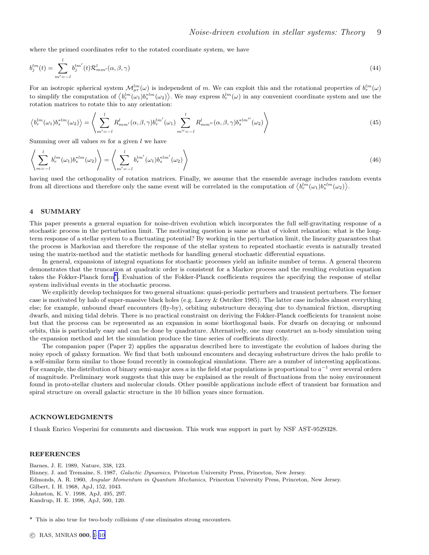<span id="page-9-0"></span>where the primed coordinates refer to the rotated coordinate system, we have

$$
b_j^{lm}(t) = \sum_{m'=l}^{l} b_j^{lm'}(t) \mathcal{R}_{mm'}^{l}(\alpha, \beta, \gamma)
$$
\n(44)

For an isotropic spherical system  $\mathcal{M}_{\mu r}^{lm}(\omega)$  is independent of m. We can exploit this and the rotational properties of  $b_r^{lm}(\omega)$ to simplify the computation of  $\langle b_r^{lm}(\omega_1) b_s^{*lm}(\omega_2) \rangle$ . We may express  $b_r^{lm}(\omega)$  in any convenient coordinate system and use the rotation matrices to rotate this to any orientation:

$$
\left\langle b_r^{lm}(\omega_1)b_s^{*lm}(\omega_2) \right\rangle = \left\langle \sum_{m'=-l}^l R_{mm'}^l(\alpha,\beta,\gamma)b_r^{lm'}(\omega_1) \sum_{m''=-l}^l R_{mm''}^l(\alpha,\beta,\gamma)b_s^{*lm''}(\omega_2) \right\rangle \tag{45}
$$

Summing over all values  $m$  for a given  $l$  we have

$$
\left\langle \sum_{m=-l}^{l} b_r^{lm}(\omega_1) b_s^{*lm}(\omega_2) \right\rangle = \left\langle \sum_{m'=-l}^{l} b_r^{lm'}(\omega_1) b_s^{*lm'}(\omega_2) \right\rangle
$$
\n(46)

having used the orthogonality of rotation matrices. Finally, we assume that the ensemble average includes random events from all directions and therefore only the same event will be correlated in the computation of  $\langle b_r^{lm}(\omega_1)b_s^{*lm}(\omega_2)\rangle$ .

## 4 SUMMARY

This paper presents a general equation for noise-driven evolution which incorporates the full self-gravitating response of a stochastic process in the perturbation limit. The motivating question is same as that of violent relaxation: what is the longterm response of a stellar system to a fluctuating potential? By working in the perturbation limit, the linearity guarantees that the process is Markovian and therefore the response of the stellar system to repeated stochastic events is naturally treated using the matrix-method and the statistic methods for handling general stochastic differential equations.

In general, expansions of integral equations for stochastic processes yield an infinite number of terms. A general theorem demonstrates that the truncation at quadratic order is consistent for a Markov process and the resulting evolution equation takes the Fokker-Planck form<sup>\*</sup>. Evaluation of the Fokker-Planck coefficients requires the specifying the response of stellar system individual events in the stochastic process.

We explicitly develop techniques for two general situations: quasi-periodic perturbers and transient perturbers. The former case is motivated by halo of super-massive black holes (e.g. Lacey & Ostriker 1985). The latter case includes almost everything else; for example, unbound dwarf encounters (fly-by), orbiting substructure decaying due to dynamical friction, disrupting dwarfs, and mixing tidal debris. There is no practical constraint on deriving the Fokker-Planck coefficients for transient noise but that the process can be represented as an expansion in some biorthogonal basis. For dwarfs on decaying or unbound orbits, this is particularly easy and can be done by quadrature. Alternatively, one may construct an n-body simulation using the expansion method and let the simulation produce the time series of coefficients directly.

The companion paper (Paper 2) applies the apparatus described here to investigate the evolution of haloes during the noisy epoch of galaxy formation. We find that both unbound encounters and decaying substructure drives the halo profile to a self-similar form similar to those found recently in cosmological simulations. There are a number of interesting applications. For example, the distribution of binary semi-major axes a in the field star populations is proportional to  $a^{-1}$  over several orders of magnitude. Preliminary work suggests that this may be explained as the result of fluctuations from the noisy environment found in proto-stellar clusters and molecular clouds. Other possible applications include effect of transient bar formation and spiral structure on overall galactic structure in the 10 billion years since formation.

#### ACKNOWLEDGMENTS

I thank Enrico Vesperini for comments and discussion. This work was support in part by NSF AST-9529328.

# **REFERENCES**

Barnes, J. E. 1989, Nature, 338, 123. Binney, J. and Tremaine, S. 1987, Galactic Dynamics, Princeton University Press, Princeton, New Jersey. Edmonds, A. R. 1960, Angular Momentum in Quantum Mechanics, Princeton University Press, Princeton, New Jersey. Gilbert, I. H. 1968, ApJ, 152, 1043. Johnston, K. V. 1998, ApJ, 495, 297. Kandrup, H. E. 1998, ApJ, 500, 120.

 $\star$  This is also true for two-body collisions *if* one eliminates strong encounters.